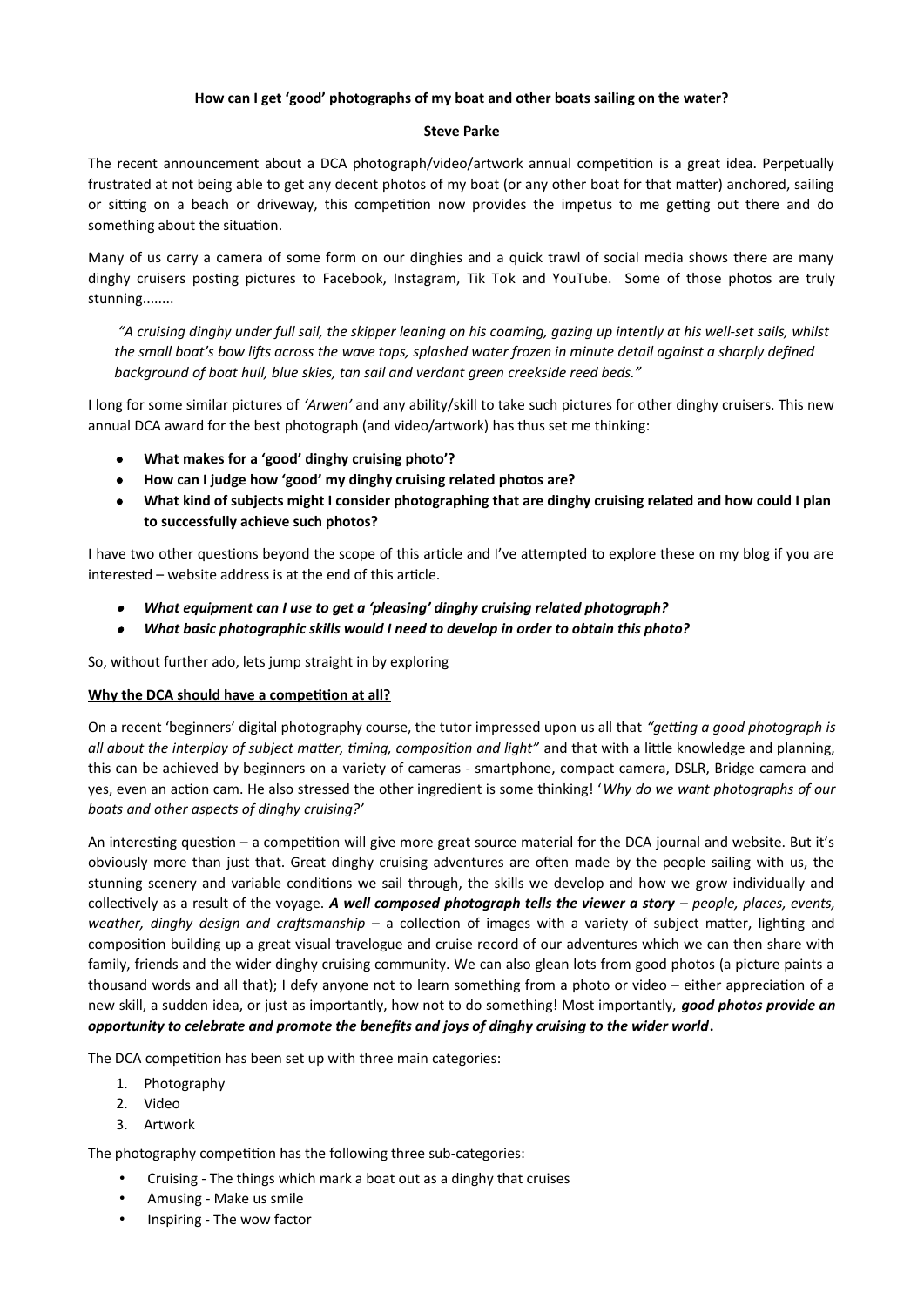# **How can I get 'good' photographs of my boat and other boats sailing on the water?**

#### **Steve Parke**

The recent announcement about a DCA photograph/video/artwork annual competition is a great idea. Perpetually frustrated at not being able to get any decent photos of my boat (or any other boat for that matter) anchored, sailing or sitting on a beach or driveway, this competition now provides the impetus to me getting out there and do something about the situation.

Many of us carry a camera of some form on our dinghies and a quick trawl of social media shows there are many dinghy cruisers posting pictures to Facebook, Instagram, Tik Tok and YouTube. Some of those photos are truly stunning........

 *"A cruising dinghy under full sail, the skipper leaning on his coaming, gazing up intently at his well-set sails, whilst the small boat's bow lifts across the wave tops, splashed water frozen in minute detail against a sharply defined background of boat hull, blue skies, tan sail and verdant green creekside reed beds."*

I long for some similar pictures of *'Arwen'* and any ability/skill to take such pictures for other dinghy cruisers. This new annual DCA award for the best photograph (and video/artwork) has thus set me thinking:

- **What makes for a 'good' dinghy cruising photo'?**
- **How can I judge how 'good' my dinghy cruising related photos are?**
- **What kind of subjects might I consider photographing that are dinghy cruising related and how could I plan to successfully achieve such photos?**

I have two other questions beyond the scope of this article and I've attempted to explore these on my blog if you are interested – website address is at the end of this article.

- $\bullet$ *What equipment can I use to get a 'pleasing' dinghy cruising related photograph?*
- . *What basic photographic skills would I need to develop in order to obtain this photo?*

So, without further ado, lets jump straight in by exploring

### **Why the DCA should have a competition at all?**

On a recent 'beginners' digital photography course, the tutor impressed upon us all that *"getting a good photograph is all about the interplay of subject matter, timing, composition and light"* and that with a little knowledge and planning, this can be achieved by beginners on a variety of cameras - smartphone, compact camera, DSLR, Bridge camera and yes, even an action cam. He also stressed the other ingredient is some thinking! '*Why do we want photographs of our boats and other aspects of dinghy cruising?'* 

An interesting question – a competition will give more great source material for the DCA journal and website. But it's obviously more than just that. Great dinghy cruising adventures are often made by the people sailing with us, the stunning scenery and variable conditions we sail through, the skills we develop and how we grow individually and collectively as a result of the voyage. *A well composed photograph tells the viewer a story* – *people, places, events, weather, dinghy design and craftsmanship* – a collection of images with a variety of subject matter, lighting and composition building up a great visual travelogue and cruise record of our adventures which we can then share with family, friends and the wider dinghy cruising community. We can also glean lots from good photos (a picture paints a thousand words and all that); I defy anyone not to learn something from a photo or video – either appreciation of a new skill, a sudden idea, or just as importantly, how not to do something! Most importantly, *good photos provide an opportunity to celebrate and promote the benefits and joys of dinghy cruising to the wider world***.** 

The DCA competition has been set up with three main categories:

- 1. Photography
- 2. Video
- 3. Artwork

The photography competition has the following three sub-categories:

- Cruising The things which mark a boat out as a dinghy that cruises
- Amusing Make us smile
- Inspiring The wow factor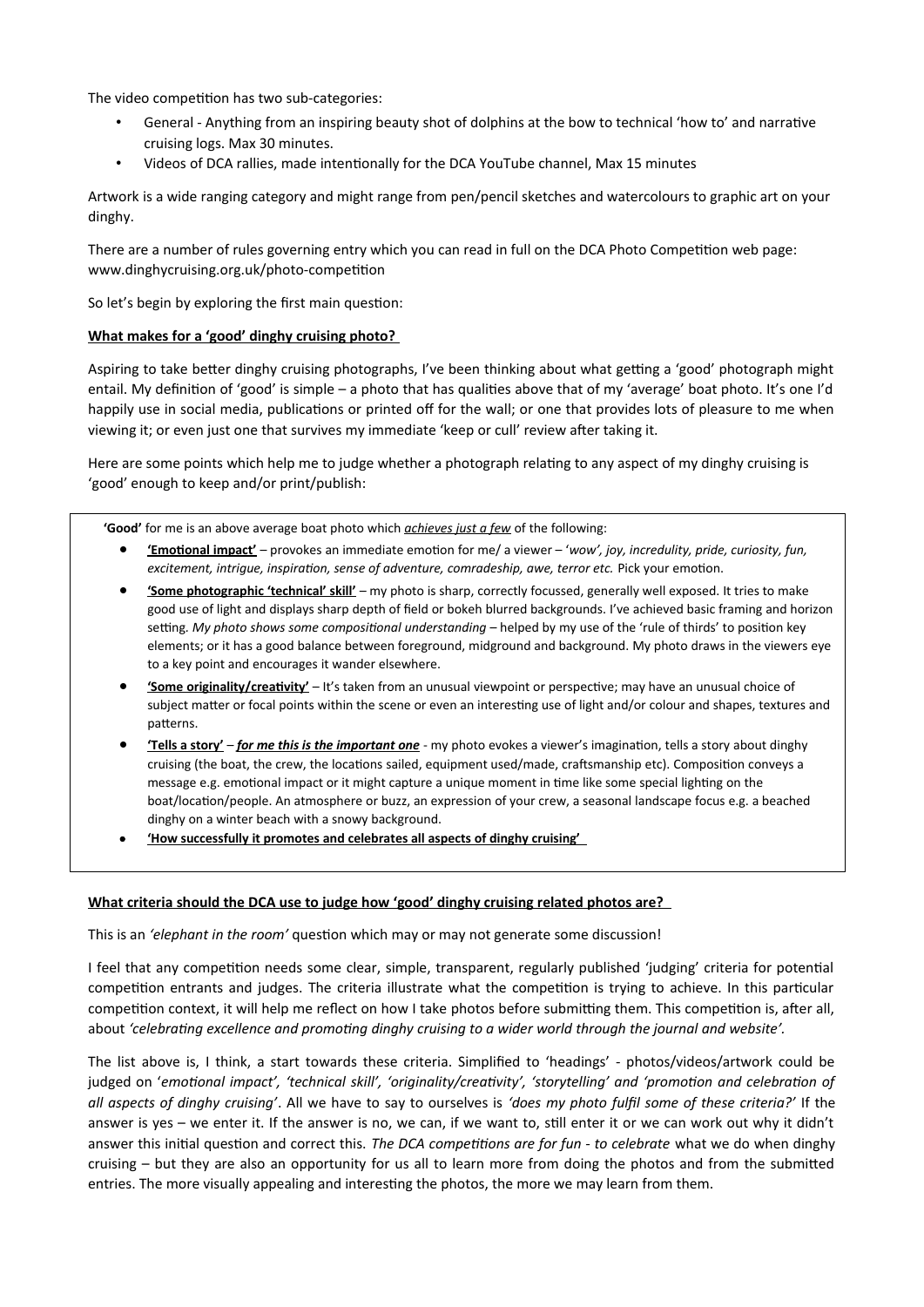The video competition has two sub-categories:

- General Anything from an inspiring beauty shot of dolphins at the bow to technical 'how to' and narrative cruising logs. Max 30 minutes.
- Videos of DCA rallies, made intentionally for the DCA YouTube channel, Max 15 minutes

Artwork is a wide ranging category and might range from pen/pencil sketches and watercolours to graphic art on your dinghy.

There are a number of rules governing entry which you can read in full on the DCA Photo Competition web page: www.dinghycruising.org.uk/photo-competition

So let's begin by exploring the first main question:

## **What makes for a 'good' dinghy cruising photo?**

Aspiring to take better dinghy cruising photographs, I've been thinking about what getting a 'good' photograph might entail. My definition of 'good' is simple – a photo that has qualities above that of my 'average' boat photo. It's one I'd happily use in social media, publications or printed off for the wall; or one that provides lots of pleasure to me when viewing it; or even just one that survives my immediate 'keep or cull' review after taking it.

Here are some points which help me to judge whether a photograph relating to any aspect of my dinghy cruising is 'good' enough to keep and/or print/publish:

**'Good'** for me is an above average boat photo which *achieves just a few* of the following:

- **'Emotional impact'** provokes an immediate emotion for me/ a viewer '*wow', joy, incredulity, pride, curiosity, fun, excitement, intrigue, inspiration, sense of adventure, comradeship, awe, terror etc.* Pick your emotion.
- **'Some photographic 'technical' skill'** my photo is sharp, correctly focussed, generally well exposed. It tries to make good use of light and displays sharp depth of field or bokeh blurred backgrounds. I've achieved basic framing and horizon setting*. My photo shows some compositional understanding* – helped by my use of the 'rule of thirds' to position key elements; or it has a good balance between foreground, midground and background. My photo draws in the viewers eye to a key point and encourages it wander elsewhere.
- **'Some originality/creativity'** It's taken from an unusual viewpoint or perspective; may have an unusual choice of subject matter or focal points within the scene or even an interesting use of light and/or colour and shapes, textures and patterns.
- **'Tells a story'** *for me this is the important one* my photo evokes a viewer's imagination, tells a story about dinghy cruising (the boat, the crew, the locations sailed, equipment used/made, craftsmanship etc). Composition conveys a message e.g. emotional impact or it might capture a unique moment in time like some special lighting on the boat/location/people. An atmosphere or buzz, an expression of your crew, a seasonal landscape focus e.g. a beached dinghy on a winter beach with a snowy background.
- **'How successfully it promotes and celebrates all aspects of dinghy cruising'**

### What criteria should the DCA use to judge how 'good' dinghy cruising related photos are?

This is an *'elephant in the room'* question which may or may not generate some discussion!

I feel that any competition needs some clear, simple, transparent, regularly published 'judging' criteria for potential competition entrants and judges. The criteria illustrate what the competition is trying to achieve. In this particular competition context, it will help me reflect on how I take photos before submitting them. This competition is, after all, about *'celebrating excellence and promoting dinghy cruising to a wider world through the journal and website'.*

The list above is, I think, a start towards these criteria. Simplified to 'headings' - photos/videos/artwork could be judged on '*emotional impact', 'technical skill', 'originality/creativity', 'storytelling' and 'promotion and celebration of all aspects of dinghy cruising'*. All we have to say to ourselves is *'does my photo fulfil some of these criteria?'* If the answer is yes – we enter it. If the answer is no, we can, if we want to, still enter it or we can work out why it didn't answer this initial question and correct this. *The DCA competitions are for fun - to celebrate* what we do when dinghy cruising – but they are also an opportunity for us all to learn more from doing the photos and from the submitted entries. The more visually appealing and interesting the photos, the more we may learn from them.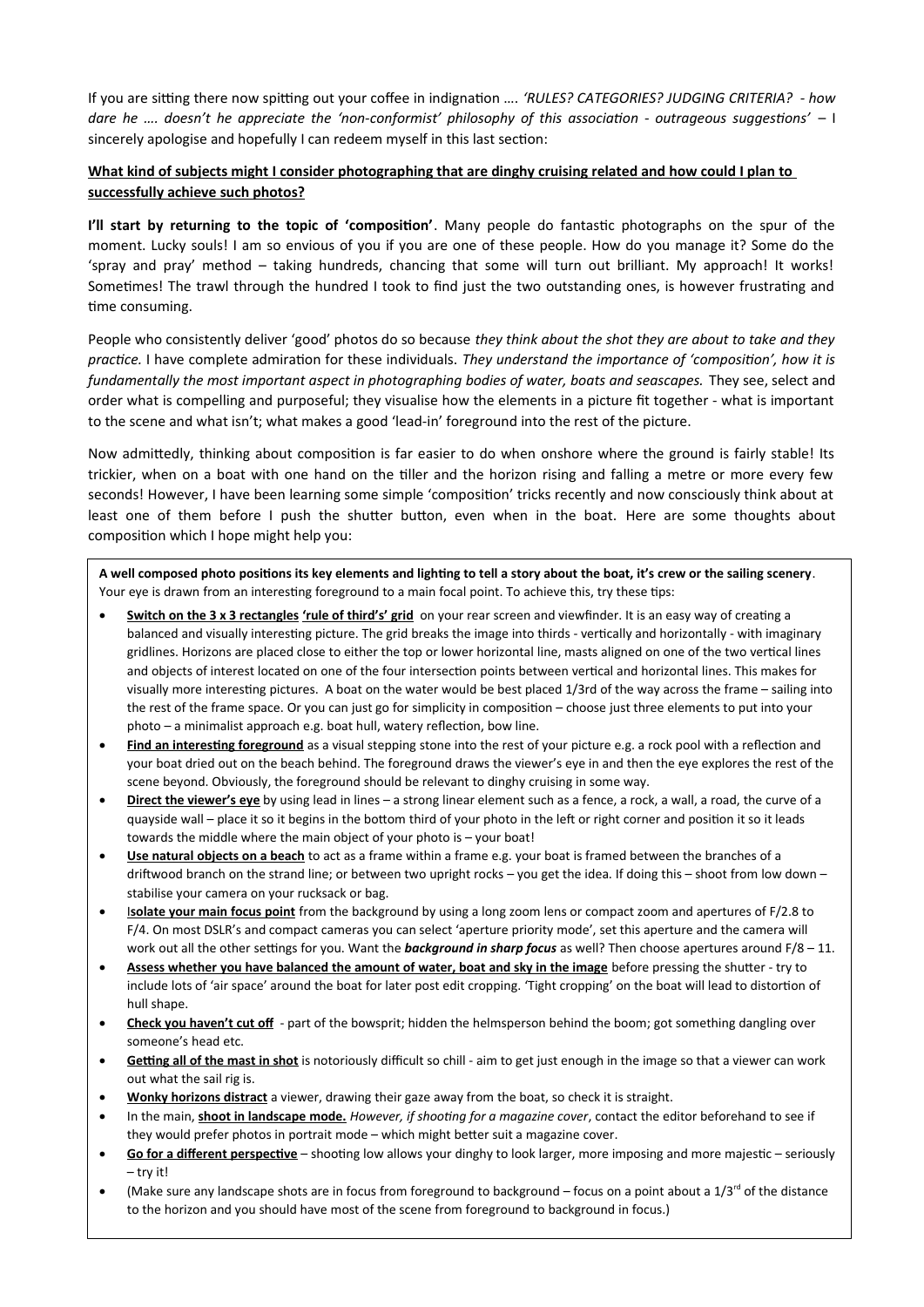If you are sitting there now spitting out your coffee in indignation …. *'RULES? CATEGORIES? JUDGING CRITERIA? - how* dare he .... doesn't he appreciate the 'non-conformist' philosophy of this association - outrageous suggestions' - I sincerely apologise and hopefully I can redeem myself in this last section:

# **What kind of subjects might I consider photographing that are dinghy cruising related and how could I plan to successfully achieve such photos?**

**I'll start by returning to the topic of 'composition'**. Many people do fantastic photographs on the spur of the moment. Lucky souls! I am so envious of you if you are one of these people. How do you manage it? Some do the 'spray and pray' method – taking hundreds, chancing that some will turn out brilliant. My approach! It works! Sometimes! The trawl through the hundred I took to find just the two outstanding ones, is however frustrating and time consuming.

People who consistently deliver 'good' photos do so because *they think about the shot they are about to take and they practice.* I have complete admiration for these individuals. *They understand the importance of 'composition', how it is fundamentally the most important aspect in photographing bodies of water, boats and seascapes.* They see, select and order what is compelling and purposeful; they visualise how the elements in a picture fit together - what is important to the scene and what isn't; what makes a good 'lead-in' foreground into the rest of the picture.

Now admittedly, thinking about composition is far easier to do when onshore where the ground is fairly stable! Its trickier, when on a boat with one hand on the tiller and the horizon rising and falling a metre or more every few seconds! However, I have been learning some simple 'composition' tricks recently and now consciously think about at least one of them before I push the shutter button, even when in the boat. Here are some thoughts about composition which I hope might help you:

**A well composed photo positions its key elements and lighting to tell a story about the boat, it's crew or the sailing scenery**. Your eye is drawn from an interesting foreground to a main focal point. To achieve this, try these tips:

- **Switch on the 3 x 3 rectangles 'rule of third's' grid** on your rear screen and viewfinder. It is an easy way of creating a balanced and visually interesting picture. The grid breaks the image into thirds - vertically and horizontally - with imaginary gridlines. Horizons are placed close to either the top or lower horizontal line, masts aligned on one of the two vertical lines and objects of interest located on one of the four intersection points between vertical and horizontal lines. This makes for visually more interesting pictures. A boat on the water would be best placed 1/3rd of the way across the frame – sailing into the rest of the frame space. Or you can just go for simplicity in composition – choose just three elements to put into your photo – a minimalist approach e.g. boat hull, watery reflection, bow line.
- **Find an interesting foreground** as a visual stepping stone into the rest of your picture e.g. a rock pool with a reflection and your boat dried out on the beach behind. The foreground draws the viewer's eye in and then the eye explores the rest of the scene beyond. Obviously, the foreground should be relevant to dinghy cruising in some way.
- **Direct the viewer's eye** by using lead in lines a strong linear element such as a fence, a rock, a wall, a road, the curve of a quayside wall – place it so it begins in the bottom third of your photo in the left or right corner and position it so it leads towards the middle where the main object of your photo is – your boat!
- **Use natural objects on a beach** to act as a frame within a frame e.g. your boat is framed between the branches of a driftwood branch on the strand line; or between two upright rocks – you get the idea. If doing this – shoot from low down – stabilise your camera on your rucksack or bag.
- I **solate your main focus point** from the background by using a long zoom lens or compact zoom and apertures of F/2.8 to F/4. On most DSLR's and compact cameras you can select 'aperture priority mode', set this aperture and the camera will work out all the other settings for you. Want the *background in sharp focus* as well? Then choose apertures around F/8 – 11.
- **Assess whether you have balanced the amount of water, boat and sky in the image** before pressing the shutter try to include lots of 'air space' around the boat for later post edit cropping. 'Tight cropping' on the boat will lead to distortion of hull shape.
- **Check you haven't cut off** part of the bowsprit; hidden the helmsperson behind the boom; got something dangling over someone's head etc.
- **Getting all of the mast in shot** is notoriously difficult so chill aim to get just enough in the image so that a viewer can work out what the sail rig is.
- **Wonky horizons distract** a viewer, drawing their gaze away from the boat, so check it is straight.
- In the main, **shoot in landscape mode.** *However, if shooting for a magazine cover*, contact the editor beforehand to see if they would prefer photos in portrait mode – which might better suit a magazine cover.
- **Go for a different perspective** shooting low allows your dinghy to look larger, more imposing and more majestic seriously – try it!
- (Make sure any landscape shots are in focus from foreground to background focus on a point about a  $1/3<sup>rd</sup>$  of the distance to the horizon and you should have most of the scene from foreground to background in focus.)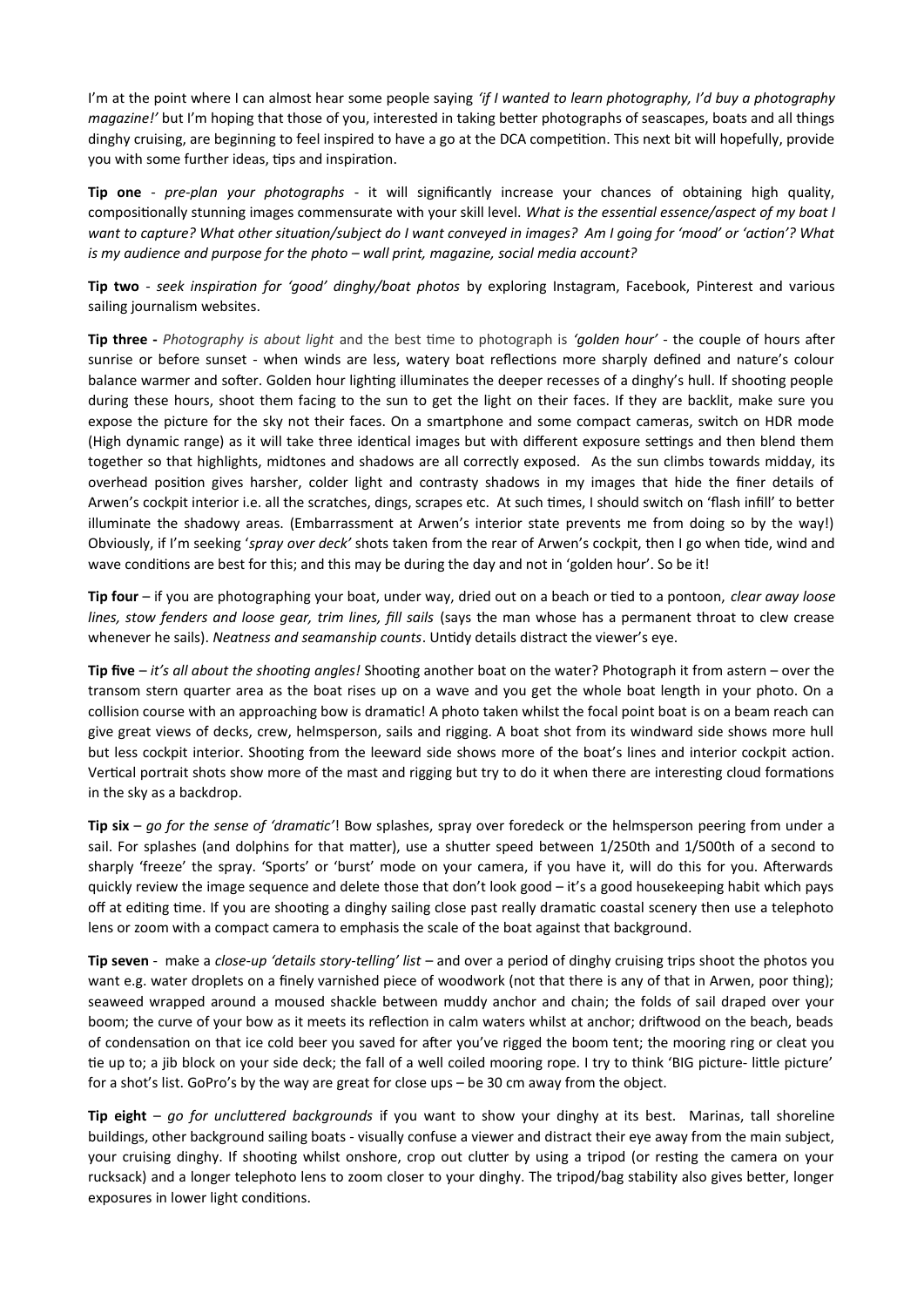I'm at the point where I can almost hear some people saying *'if I wanted to learn photography, I'd buy a photography magazine!'* but I'm hoping that those of you, interested in taking better photographs of seascapes, boats and all things dinghy cruising, are beginning to feel inspired to have a go at the DCA competition. This next bit will hopefully, provide you with some further ideas, tips and inspiration.

**Tip one** - *pre-plan your photographs* - it will significantly increase your chances of obtaining high quality, compositionally stunning images commensurate with your skill level. *What is the essential essence/aspect of my boat I want to capture? What other situation/subject do I want conveyed in images? Am I going for 'mood' or 'action'? What is my audience and purpose for the photo – wall print, magazine, social media account?*

**Tip two** - *seek inspiration for 'good' dinghy/boat photos* by exploring Instagram, Facebook, Pinterest and various sailing journalism websites.

**Tip three -** *Photography is about light* and the best time to photograph is *'golden hour'* - the couple of hours after sunrise or before sunset - when winds are less, watery boat reflections more sharply defined and nature's colour balance warmer and softer. Golden hour lighting illuminates the deeper recesses of a dinghy's hull. If shooting people during these hours, shoot them facing to the sun to get the light on their faces. If they are backlit, make sure you expose the picture for the sky not their faces. On a smartphone and some compact cameras, switch on HDR mode (High dynamic range) as it will take three identical images but with different exposure settings and then blend them together so that highlights, midtones and shadows are all correctly exposed. As the sun climbs towards midday, its overhead position gives harsher, colder light and contrasty shadows in my images that hide the finer details of Arwen's cockpit interior i.e. all the scratches, dings, scrapes etc. At such times, I should switch on 'flash infill' to better illuminate the shadowy areas. (Embarrassment at Arwen's interior state prevents me from doing so by the way!) Obviously, if I'm seeking '*spray over deck'* shots taken from the rear of Arwen's cockpit, then I go when tide, wind and wave conditions are best for this; and this may be during the day and not in 'golden hour'. So be it!

**Tip four** – if you are photographing your boat, under way, dried out on a beach or tied to a pontoon, *clear away loose lines, stow fenders and loose gear, trim lines, fill sails* (says the man whose has a permanent throat to clew crease whenever he sails). *Neatness and seamanship counts*. Untidy details distract the viewer's eye.

**Tip five** – *it's all about the shooting angles!* Shooting another boat on the water? Photograph it from astern – over the transom stern quarter area as the boat rises up on a wave and you get the whole boat length in your photo. On a collision course with an approaching bow is dramatic! A photo taken whilst the focal point boat is on a beam reach can give great views of decks, crew, helmsperson, sails and rigging. A boat shot from its windward side shows more hull but less cockpit interior. Shooting from the leeward side shows more of the boat's lines and interior cockpit action. Vertical portrait shots show more of the mast and rigging but try to do it when there are interesting cloud formations in the sky as a backdrop.

**Tip six** – *go for the sense of 'dramatic'*! Bow splashes, spray over foredeck or the helmsperson peering from under a sail. For splashes (and dolphins for that matter), use a shutter speed between 1/250th and 1/500th of a second to sharply 'freeze' the spray. 'Sports' or 'burst' mode on your camera, if you have it, will do this for you. Afterwards quickly review the image sequence and delete those that don't look good – it's a good housekeeping habit which pays off at editing time. If you are shooting a dinghy sailing close past really dramatic coastal scenery then use a telephoto lens or zoom with a compact camera to emphasis the scale of the boat against that background.

**Tip seven** - make a *close-up 'details story-telling' list* – and over a period of dinghy cruising trips shoot the photos you want e.g. water droplets on a finely varnished piece of woodwork (not that there is any of that in Arwen, poor thing); seaweed wrapped around a moused shackle between muddy anchor and chain; the folds of sail draped over your boom; the curve of your bow as it meets its reflection in calm waters whilst at anchor; driftwood on the beach, beads of condensation on that ice cold beer you saved for after you've rigged the boom tent; the mooring ring or cleat you tie up to; a jib block on your side deck; the fall of a well coiled mooring rope. I try to think 'BIG picture- little picture' for a shot's list. GoPro's by the way are great for close ups – be 30 cm away from the object.

**Tip eight** – *go for uncluttered backgrounds* if you want to show your dinghy at its best. Marinas, tall shoreline buildings, other background sailing boats - visually confuse a viewer and distract their eye away from the main subject, your cruising dinghy. If shooting whilst onshore, crop out clutter by using a tripod (or resting the camera on your rucksack) and a longer telephoto lens to zoom closer to your dinghy. The tripod/bag stability also gives better, longer exposures in lower light conditions.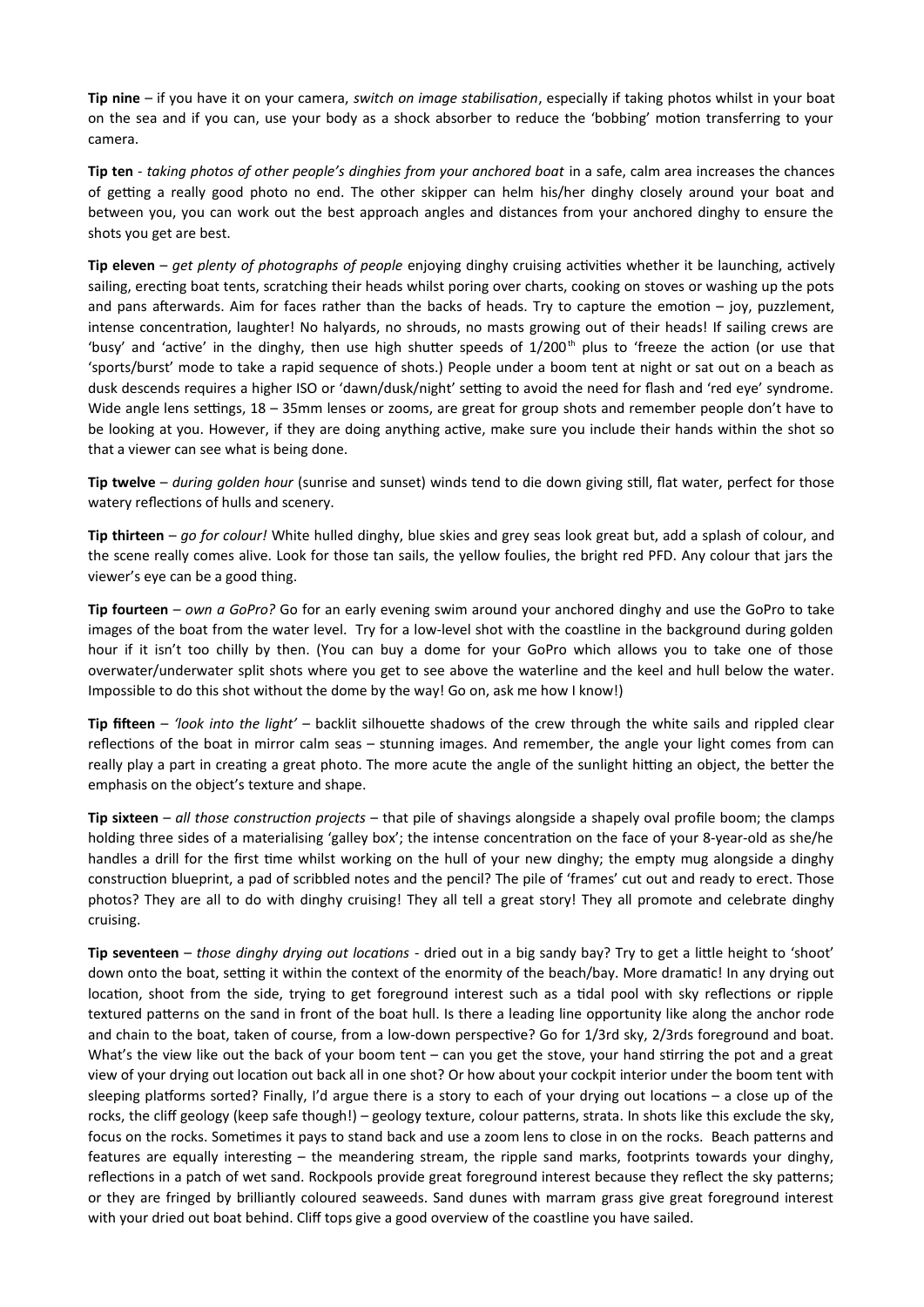**Tip nine** – if you have it on your camera, *switch on image stabilisation*, especially if taking photos whilst in your boat on the sea and if you can, use your body as a shock absorber to reduce the 'bobbing' motion transferring to your camera.

**Tip ten** - *taking photos of other people's dinghies from your anchored boat* in a safe, calm area increases the chances of getting a really good photo no end. The other skipper can helm his/her dinghy closely around your boat and between you, you can work out the best approach angles and distances from your anchored dinghy to ensure the shots you get are best.

**Tip eleven** – *get plenty of photographs of people* enjoying dinghy cruising activities whether it be launching, actively sailing, erecting boat tents, scratching their heads whilst poring over charts, cooking on stoves or washing up the pots and pans afterwards. Aim for faces rather than the backs of heads. Try to capture the emotion – joy, puzzlement, intense concentration, laughter! No halyards, no shrouds, no masts growing out of their heads! If sailing crews are 'busy' and 'active' in the dinghy, then use high shutter speeds of  $1/200<sup>th</sup>$  plus to 'freeze the action (or use that 'sports/burst' mode to take a rapid sequence of shots.) People under a boom tent at night or sat out on a beach as dusk descends requires a higher ISO or 'dawn/dusk/night' setting to avoid the need for flash and 'red eye' syndrome. Wide angle lens settings, 18 – 35mm lenses or zooms, are great for group shots and remember people don't have to be looking at you. However, if they are doing anything active, make sure you include their hands within the shot so that a viewer can see what is being done.

**Tip twelve** – *during golden hour* (sunrise and sunset) winds tend to die down giving still, flat water, perfect for those watery reflections of hulls and scenery.

**Tip thirteen** – *go for colour!* White hulled dinghy, blue skies and grey seas look great but, add a splash of colour, and the scene really comes alive. Look for those tan sails, the yellow foulies, the bright red PFD. Any colour that jars the viewer's eye can be a good thing.

**Tip fourteen** – *own a GoPro?* Go for an early evening swim around your anchored dinghy and use the GoPro to take images of the boat from the water level. Try for a low-level shot with the coastline in the background during golden hour if it isn't too chilly by then. (You can buy a dome for your GoPro which allows you to take one of those overwater/underwater split shots where you get to see above the waterline and the keel and hull below the water. Impossible to do this shot without the dome by the way! Go on, ask me how I know!)

**Tip fifteen** – *'look into the light'* – backlit silhouette shadows of the crew through the white sails and rippled clear reflections of the boat in mirror calm seas – stunning images. And remember, the angle your light comes from can really play a part in creating a great photo. The more acute the angle of the sunlight hitting an object, the better the emphasis on the object's texture and shape.

**Tip sixteen** – *all those construction projects* – that pile of shavings alongside a shapely oval profile boom; the clamps holding three sides of a materialising 'galley box'; the intense concentration on the face of your 8-year-old as she/he handles a drill for the first time whilst working on the hull of your new dinghy; the empty mug alongside a dinghy construction blueprint, a pad of scribbled notes and the pencil? The pile of 'frames' cut out and ready to erect. Those photos? They are all to do with dinghy cruising! They all tell a great story! They all promote and celebrate dinghy cruising.

**Tip seventeen** – *those dinghy drying out locations* - dried out in a big sandy bay? Try to get a little height to 'shoot' down onto the boat, setting it within the context of the enormity of the beach/bay. More dramatic! In any drying out location, shoot from the side, trying to get foreground interest such as a tidal pool with sky reflections or ripple textured patterns on the sand in front of the boat hull. Is there a leading line opportunity like along the anchor rode and chain to the boat, taken of course, from a low-down perspective? Go for 1/3rd sky, 2/3rds foreground and boat. What's the view like out the back of your boom tent – can you get the stove, your hand stirring the pot and a great view of your drying out location out back all in one shot? Or how about your cockpit interior under the boom tent with sleeping platforms sorted? Finally, I'd argue there is a story to each of your drying out locations – a close up of the rocks, the cliff geology (keep safe though!) – geology texture, colour patterns, strata. In shots like this exclude the sky, focus on the rocks. Sometimes it pays to stand back and use a zoom lens to close in on the rocks. Beach patterns and features are equally interesting – the meandering stream, the ripple sand marks, footprints towards your dinghy, reflections in a patch of wet sand. Rockpools provide great foreground interest because they reflect the sky patterns; or they are fringed by brilliantly coloured seaweeds. Sand dunes with marram grass give great foreground interest with your dried out boat behind. Cliff tops give a good overview of the coastline you have sailed.